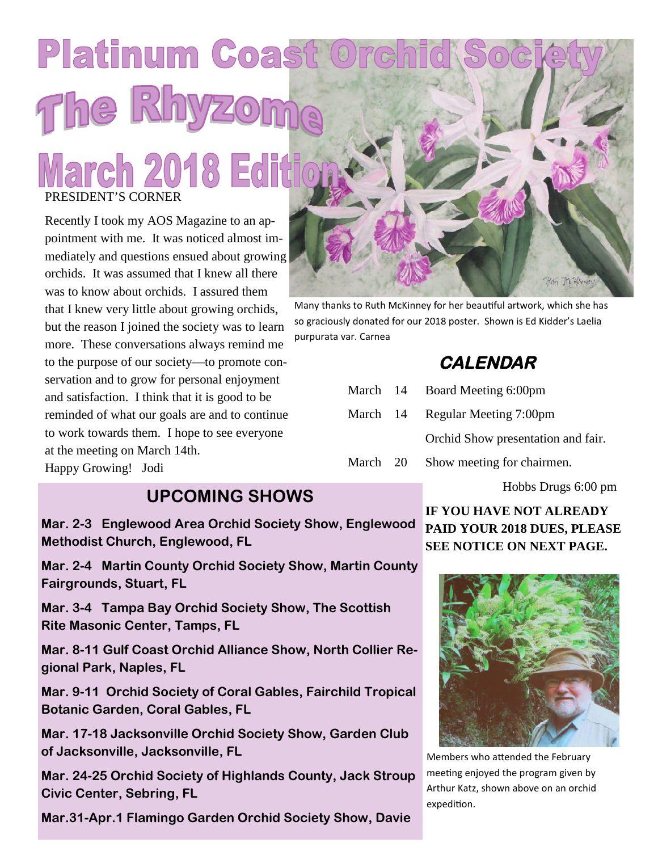# Platinum Coast Ore The Rhyzon **March 2018 Editi** PRESIDENT'S CORNER

Recently I took my AOS Magazine to an appointment with me. It was noticed almost immediately and questions ensued about growing orchids. It was assumed that I knew all there was to know about orchids. I assured them that I knew very little about growing orchids, but the reason I joined the society was to learn more. These conversations always remind me to the purpose of our society—to promote conservation and to grow for personal enjoyment and satisfaction. I think that it is good to be reminded of what our goals are and to continue to work towards them. I hope to see everyone at the meeting on March 14th. Happy Growing! Jodi

#### **UPCOMING SHOWS**

**Mar. 2-3 Englewood Area Orchid Society Show, Englewood Methodist Church, Englewood, FL**

**Mar. 2-4 Martin County Orchid Society Show, Martin County Fairgrounds, Stuart, FL**

**Mar. 3-4 Tampa Bay Orchid Society Show, The Scottish Rite Masonic Center, Tamps, FL**

**Mar. 8-11 Gulf Coast Orchid Alliance Show, North Collier Regional Park, Naples, FL**

**Mar. 9-11 Orchid Society of Coral Gables, Fairchild Tropical Botanic Garden, Coral Gables, FL**

**Mar. 17-18 Jacksonville Orchid Society Show, Garden Club of Jacksonville, Jacksonville, FL**

**Mar. 24-25 Orchid Society of Highlands County, Jack Stroup Civic Center, Sebring, FL**

**Mar.31-Apr.1 Flamingo Garden Orchid Society Show, Davie**



Many thanks to Ruth McKinney for her beautiful artwork, which she has so graciously donated for our 2018 poster. Shown is Ed Kidder's Laelia purpurata var. Carnea

# **CALENDAR**

|          | March 14 Board Meeting 6:00pm      |  |
|----------|------------------------------------|--|
|          | March 14 Regular Meeting 7:00pm    |  |
|          | Orchid Show presentation and fair. |  |
| March 20 | Show meeting for chairmen.         |  |

Hobbs Drugs 6:00 pm

**IF YOU HAVE NOT ALREADY PAID YOUR 2018 DUES, PLEASE SEE NOTICE ON NEXT PAGE.**



Members who attended the February meeting enjoyed the program given by Arthur Katz, shown above on an orchid expedition.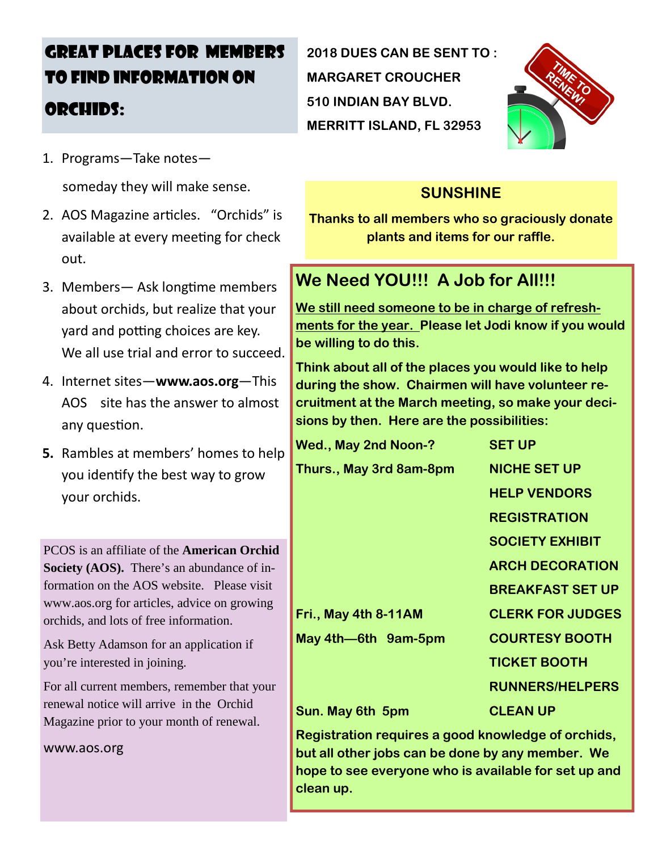# GREAT PLACES FOR MEMBERS TO FIND INFORMATION ON ORCHIDS:

1. Programs—Take notes—

someday they will make sense.

- 2. A OS Magazine articles. "Orchids" is available at every meeting for check out.
- 3. Members— Ask longtime members about orchids, but realize that your yard and potting choices are key. We all use trial and error to succeed.
- 4. Internet sites—**www.aos.org**—This AOS site has the answer to almost any question.
- **5.** Rambles at members' homes to help you identify the best way to grow your orchids.

PCOS is an affiliate of the **American Orchid Society (AOS).** There's an abundance of information on the AOS website. Please visit www.aos.org for articles, advice on growing orchids, and lots of free information.

Ask Betty Adamson for an application if you're interested in joining.

For all current members, remember that your renewal notice will arrive in the Orchid Magazine prior to your month of renewal.

www.aos.org

**2018 DUES CAN BE SENT TO : MARGARET CROUCHER 510 INDIAN BAY BLVD. MERRITT ISLAND, FL 32953**



### **SUNSHINE**

**Thanks to all members who so graciously donate plants and items for our raffle.**

# **We Need YOU!!! A Job for All!!!**

**We still need someone to be in charge of refreshments for the year. Please let Jodi know if you would be willing to do this.**

**Think about all of the places you would like to help during the show. Chairmen will have volunteer recruitment at the March meeting, so make your decisions by then. Here are the possibilities:**

| Wed., May 2nd Noon-?    | <b>SET UP</b>           |
|-------------------------|-------------------------|
| Thurs., May 3rd 8am-8pm | <b>NICHE SET UP</b>     |
|                         | <b>HELP VENDORS</b>     |
|                         | <b>REGISTRATION</b>     |
|                         | <b>SOCIETY EXHIBIT</b>  |
|                         | <b>ARCH DECORATION</b>  |
|                         | <b>BREAKFAST SET UP</b> |
| Fri., May 4th 8-11AM    | <b>CLERK FOR JUDGES</b> |
| May 4th-6th 9am-5pm     | <b>COURTESY BOOTH</b>   |
|                         | <b>TICKET BOOTH</b>     |
|                         | <b>RUNNERS/HELPERS</b>  |
| Sun. May 6th 5pm        | <b>CLEAN UP</b>         |

**Registration requires a good knowledge of orchids, but all other jobs can be done by any member. We hope to see everyone who is available for set up and clean up.**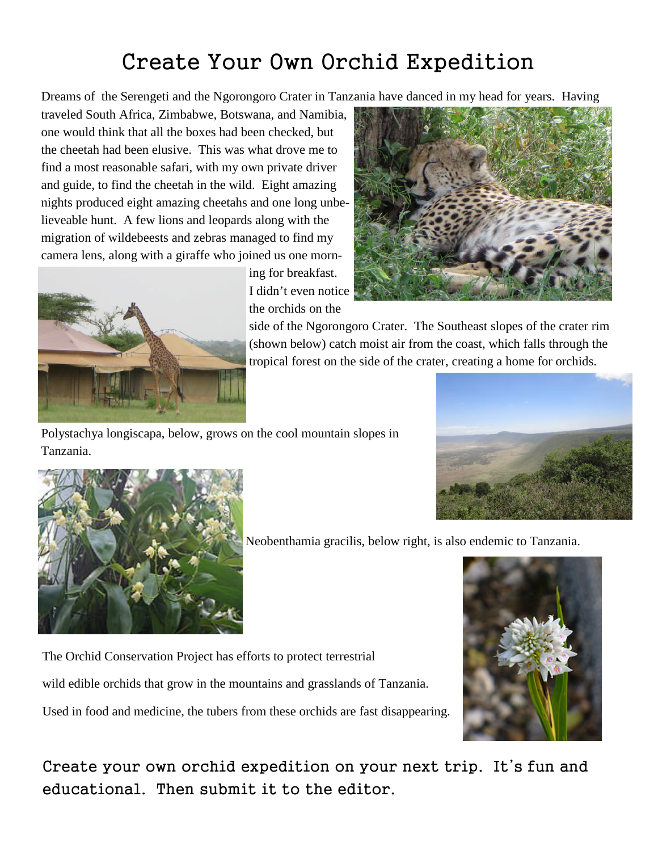# Create Your Own Orchid Expedition

Dreams of the Serengeti and the Ngorongoro Crater in Tanzania have danced in my head for years. Having

traveled South Africa, Zimbabwe, Botswana, and Namibia, one would think that all the boxes had been checked, but the cheetah had been elusive. This was what drove me to find a most reasonable safari, with my own private driver and guide, to find the cheetah in the wild. Eight amazing nights produced eight amazing cheetahs and one long unbelieveable hunt. A few lions and leopards along with the migration of wildebeests and zebras managed to find my camera lens, along with a giraffe who joined us one morn-



ing for breakfast. I didn't even notice the orchids on the



side of the Ngorongoro Crater. The Southeast slopes of the crater rim (shown below) catch moist air from the coast, which falls through the tropical forest on the side of the crater, creating a home for orchids.

Polystachya longiscapa, below, grows on the cool mountain slopes in Tanzania.





Neobenthamia gracilis, below right, is also endemic to Tanzania.

The Orchid Conservation Project has efforts to protect terrestrial wild edible orchids that grow in the mountains and grasslands of Tanzania.

Used in food and medicine, the tubers from these orchids are fast disappearing.

Create your own orchid expedition on your next trip. It's fun and educational. Then submit it to the editor.